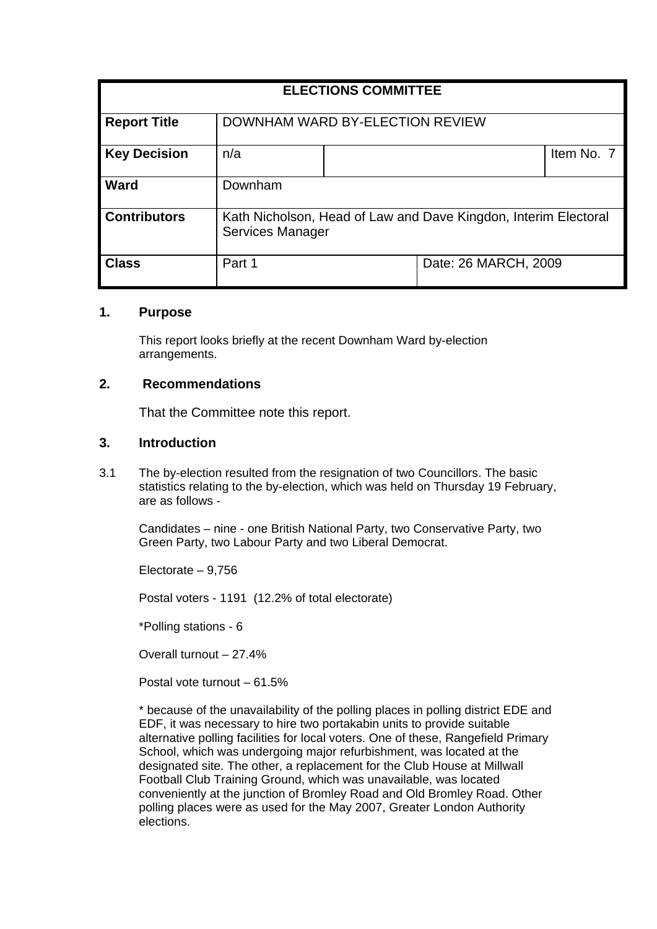| <b>ELECTIONS COMMITTEE</b> |                                                                                            |  |                      |            |
|----------------------------|--------------------------------------------------------------------------------------------|--|----------------------|------------|
| <b>Report Title</b>        | DOWNHAM WARD BY-ELECTION REVIEW                                                            |  |                      |            |
| <b>Key Decision</b>        | n/a                                                                                        |  |                      | Item No. 7 |
| <b>Ward</b>                | Downham                                                                                    |  |                      |            |
| <b>Contributors</b>        | Kath Nicholson, Head of Law and Dave Kingdon, Interim Electoral<br><b>Services Manager</b> |  |                      |            |
| <b>Class</b>               | Part 1                                                                                     |  | Date: 26 MARCH, 2009 |            |

### **1. Purpose**

This report looks briefly at the recent Downham Ward by-election arrangements.

# **2. Recommendations**

That the Committee note this report.

### **3. Introduction**

3.1 The by-election resulted from the resignation of two Councillors. The basic statistics relating to the by-election, which was held on Thursday 19 February, are as follows -

 Candidates – nine - one British National Party, two Conservative Party, two Green Party, two Labour Party and two Liberal Democrat.

Electorate – 9,756

Postal voters - 1191 (12.2% of total electorate)

\*Polling stations - 6

Overall turnout – 27.4%

Postal vote turnout – 61.5%

\* because of the unavailability of the polling places in polling district EDE and EDF, it was necessary to hire two portakabin units to provide suitable alternative polling facilities for local voters. One of these, Rangefield Primary School, which was undergoing major refurbishment, was located at the designated site. The other, a replacement for the Club House at Millwall Football Club Training Ground, which was unavailable, was located conveniently at the junction of Bromley Road and Old Bromley Road. Other polling places were as used for the May 2007, Greater London Authority elections.